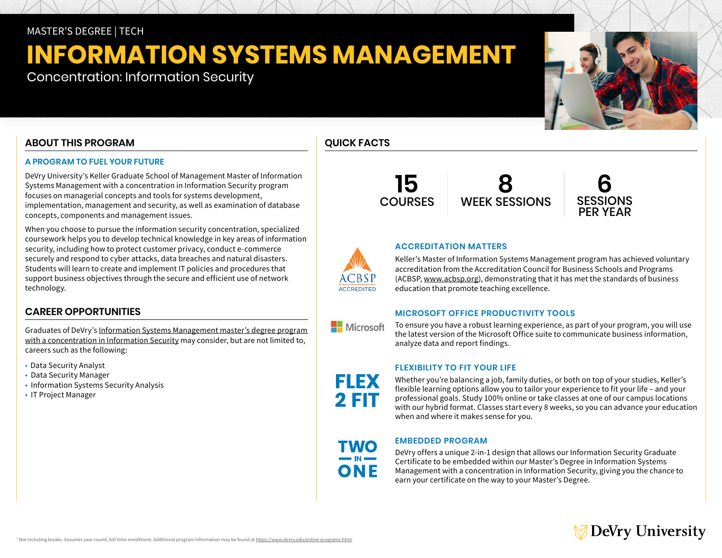# MASTER'S DEGREE | TECH

# **INFORMATION SYSTEMS MANAGEMENT**

Concentration: Information Security

# **ABOUT THIS PROGRAM**

### **A PROGRAM TO FUEL YOUR FUTURE**

DeVry University's Keller Graduate School of Management Master of Information Systems Management with a concentration in Information Security program focuses on managerial concepts and tools for systems development, implementation, management and security, as well as examination of database concepts, components and management issues.

When you choose to pursue the information security concentration, specialized coursework helps you to develop technical knowledge in key areas of information security, including how to protect customer privacy, conduct e-commerce securely and respond to cyber attacks, data breaches and natural disasters. Students will learn to create and implement IT policies and procedures that support business objectives through the secure and efficient use of network technology.

### **CAREER OPPORTUNITIES**

Graduates of DeVry's [Information Systems Management master's degree program](https://www.devry.edu/online-programs/masters-degrees/information-systems-management.html)  [with a concentration in Information Security](https://www.devry.edu/online-programs/masters-degrees/information-systems-management.html) may consider, but are not limited to, careers such as the following:

- Data Security Analyst
- Data Security Manager
- Information Systems Security Analysis
- IT Project Manager









### **ACCREDITATION MATTERS**

Keller's Master of Information Systems Management program has achieved voluntary accreditation from the Accreditation Council for Business Schools and Programs (ACBSP, [www.acbsp.org\)](https://www.acbsp.org), demonstrating that it has met the standards of business education that promote teaching excellence.

### **MICROSOFT OFFICE PRODUCTIVITY TOOLS**

To ensure you have a robust learning experience, as part of your program, you will use the latest version of the Microsoft Office suite to communicate business information, analyze data and report findings.

### **FLEXIBILITY TO FIT YOUR LIFE**

Whether you're balancing a job, family duties, or both on top of your studies, Keller's flexible learning options allow you to tailor your experience to fit your life – and your professional goals. Study 100% online or take classes at one of our campus locations with our hybrid format. Classes start every 8 weeks, so you can advance your education when and where it makes sense for you.

# **EMBEDDED PROGRAM**

DeVry offers a unique 2-in-1 design that allows our Information Security Graduate Certificate to be embedded within our Master's Degree in Information Systems Management with a concentration in Information Security, giving you the chance to earn your certificate on the way to your Master's Degree.

# DeVry University





**Nicrosoft** 

FLEX

**2 FIT** 

**TWO** 

ONE